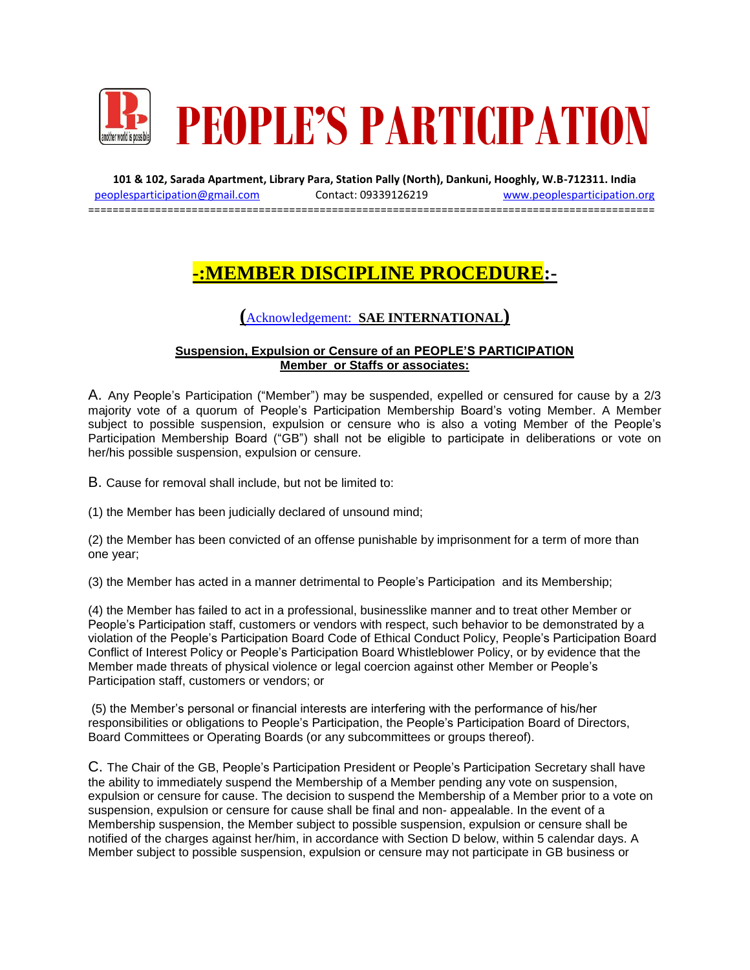

**101 & 102, Sarada Apartment, Library Para, Station Pally (North), Dankuni, Hooghly, W.B-712311. India** [peoplesparticipation@gmail.com](mailto:peoplesparticipation@gmail.com) Contact: 09339126219 [www.peoplesparticipation.org](http://www.peoplesparticipation.org/) =============================================================================================

## **-:MEMBER DISCIPLINE PROCEDURE:-**

## **(**Acknowledgement: **SAE INTERNATIONAL)**

## **Suspension, Expulsion or Censure of an PEOPLE'S PARTICIPATION Member or Staffs or associates:**

A. Any People's Participation ("Member") may be suspended, expelled or censured for cause by a 2/3 majority vote of a quorum of People's Participation Membership Board's voting Member. A Member subject to possible suspension, expulsion or censure who is also a voting Member of the People's Participation Membership Board ("GB") shall not be eligible to participate in deliberations or vote on her/his possible suspension, expulsion or censure.

B. Cause for removal shall include, but not be limited to:

(1) the Member has been judicially declared of unsound mind;

(2) the Member has been convicted of an offense punishable by imprisonment for a term of more than one year;

(3) the Member has acted in a manner detrimental to People's Participation and its Membership;

(4) the Member has failed to act in a professional, businesslike manner and to treat other Member or People's Participation staff, customers or vendors with respect, such behavior to be demonstrated by a violation of the People's Participation Board Code of Ethical Conduct Policy, People's Participation Board Conflict of Interest Policy or People's Participation Board Whistleblower Policy, or by evidence that the Member made threats of physical violence or legal coercion against other Member or People's Participation staff, customers or vendors; or

(5) the Member's personal or financial interests are interfering with the performance of his/her responsibilities or obligations to People's Participation, the People's Participation Board of Directors, Board Committees or Operating Boards (or any subcommittees or groups thereof).

C. The Chair of the GB, People's Participation President or People's Participation Secretary shall have the ability to immediately suspend the Membership of a Member pending any vote on suspension, expulsion or censure for cause. The decision to suspend the Membership of a Member prior to a vote on suspension, expulsion or censure for cause shall be final and non- appealable. In the event of a Membership suspension, the Member subject to possible suspension, expulsion or censure shall be notified of the charges against her/him, in accordance with Section D below, within 5 calendar days. A Member subject to possible suspension, expulsion or censure may not participate in GB business or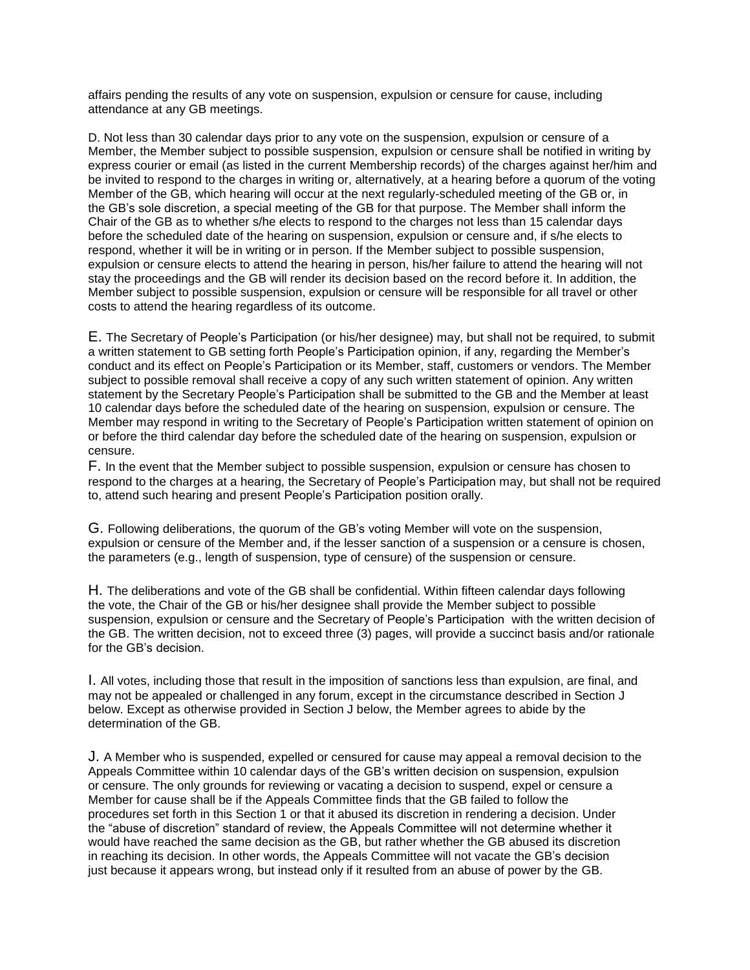affairs pending the results of any vote on suspension, expulsion or censure for cause, including attendance at any GB meetings.

D. Not less than 30 calendar days prior to any vote on the suspension, expulsion or censure of a Member, the Member subject to possible suspension, expulsion or censure shall be notified in writing by express courier or email (as listed in the current Membership records) of the charges against her/him and be invited to respond to the charges in writing or, alternatively, at a hearing before a quorum of the voting Member of the GB, which hearing will occur at the next regularly-scheduled meeting of the GB or, in the GB's sole discretion, a special meeting of the GB for that purpose. The Member shall inform the Chair of the GB as to whether s/he elects to respond to the charges not less than 15 calendar days before the scheduled date of the hearing on suspension, expulsion or censure and, if s/he elects to respond, whether it will be in writing or in person. If the Member subject to possible suspension, expulsion or censure elects to attend the hearing in person, his/her failure to attend the hearing will not stay the proceedings and the GB will render its decision based on the record before it. In addition, the Member subject to possible suspension, expulsion or censure will be responsible for all travel or other costs to attend the hearing regardless of its outcome.

E. The Secretary of People's Participation (or his/her designee) may, but shall not be required, to submit a written statement to GB setting forth People's Participation opinion, if any, regarding the Member's conduct and its effect on People's Participation or its Member, staff, customers or vendors. The Member subject to possible removal shall receive a copy of any such written statement of opinion. Any written statement by the Secretary People's Participation shall be submitted to the GB and the Member at least 10 calendar days before the scheduled date of the hearing on suspension, expulsion or censure. The Member may respond in writing to the Secretary of People's Participation written statement of opinion on or before the third calendar day before the scheduled date of the hearing on suspension, expulsion or censure.

F. In the event that the Member subject to possible suspension, expulsion or censure has chosen to respond to the charges at a hearing, the Secretary of People's Participation may, but shall not be required to, attend such hearing and present People's Participation position orally.

G. Following deliberations, the quorum of the GB's voting Member will vote on the suspension, expulsion or censure of the Member and, if the lesser sanction of a suspension or a censure is chosen, the parameters (e.g., length of suspension, type of censure) of the suspension or censure.

H. The deliberations and vote of the GB shall be confidential. Within fifteen calendar days following the vote, the Chair of the GB or his/her designee shall provide the Member subject to possible suspension, expulsion or censure and the Secretary of People's Participation with the written decision of the GB. The written decision, not to exceed three (3) pages, will provide a succinct basis and/or rationale for the GB's decision.

I. All votes, including those that result in the imposition of sanctions less than expulsion, are final, and may not be appealed or challenged in any forum, except in the circumstance described in Section J below. Except as otherwise provided in Section J below, the Member agrees to abide by the determination of the GB.

J. A Member who is suspended, expelled or censured for cause may appeal a removal decision to the Appeals Committee within 10 calendar days of the GB's written decision on suspension, expulsion or censure. The only grounds for reviewing or vacating a decision to suspend, expel or censure a Member for cause shall be if the Appeals Committee finds that the GB failed to follow the procedures set forth in this Section 1 or that it abused its discretion in rendering a decision. Under the "abuse of discretion" standard of review, the Appeals Committee will not determine whether it would have reached the same decision as the GB, but rather whether the GB abused its discretion in reaching its decision. In other words, the Appeals Committee will not vacate the GB's decision just because it appears wrong, but instead only if it resulted from an abuse of power by the GB.